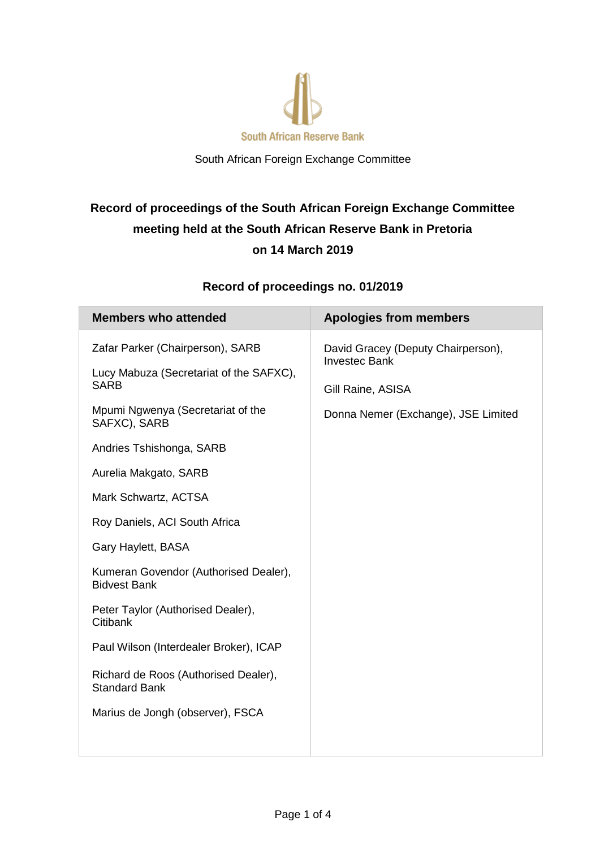

South African Foreign Exchange Committee

# **Record of proceedings of the South African Foreign Exchange Committee meeting held at the South African Reserve Bank in Pretoria on 14 March 2019**

## **Record of proceedings no. 01/2019**

| <b>Members who attended</b>                                                                                                                     | <b>Apologies from members</b>                                                                                          |
|-------------------------------------------------------------------------------------------------------------------------------------------------|------------------------------------------------------------------------------------------------------------------------|
| Zafar Parker (Chairperson), SARB<br>Lucy Mabuza (Secretariat of the SAFXC),<br><b>SARB</b><br>Mpumi Ngwenya (Secretariat of the<br>SAFXC), SARB | David Gracey (Deputy Chairperson),<br><b>Investec Bank</b><br>Gill Raine, ASISA<br>Donna Nemer (Exchange), JSE Limited |
| Andries Tshishonga, SARB                                                                                                                        |                                                                                                                        |
| Aurelia Makgato, SARB                                                                                                                           |                                                                                                                        |
| Mark Schwartz, ACTSA                                                                                                                            |                                                                                                                        |
| Roy Daniels, ACI South Africa                                                                                                                   |                                                                                                                        |
| Gary Haylett, BASA                                                                                                                              |                                                                                                                        |
| Kumeran Govendor (Authorised Dealer),<br><b>Bidvest Bank</b>                                                                                    |                                                                                                                        |
| Peter Taylor (Authorised Dealer),<br>Citibank                                                                                                   |                                                                                                                        |
| Paul Wilson (Interdealer Broker), ICAP                                                                                                          |                                                                                                                        |
| Richard de Roos (Authorised Dealer),<br><b>Standard Bank</b>                                                                                    |                                                                                                                        |
| Marius de Jongh (observer), FSCA                                                                                                                |                                                                                                                        |
|                                                                                                                                                 |                                                                                                                        |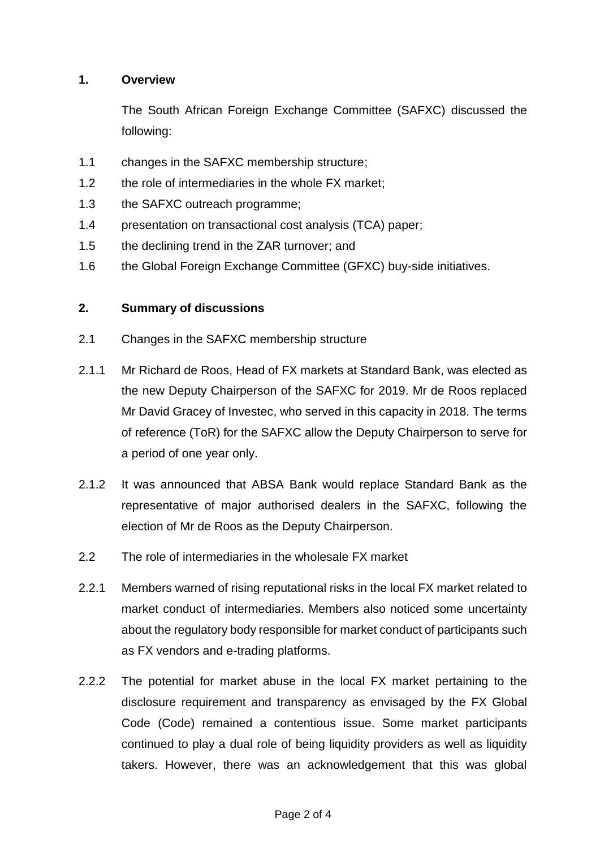### **1. Overview**

The South African Foreign Exchange Committee (SAFXC) discussed the following:

- 1.1 changes in the SAFXC membership structure;
- 1.2 the role of intermediaries in the whole FX market;
- 1.3 the SAFXC outreach programme;
- 1.4 presentation on transactional cost analysis (TCA) paper;
- 1.5 the declining trend in the ZAR turnover; and
- 1.6 the Global Foreign Exchange Committee (GFXC) buy-side initiatives.

#### **2. Summary of discussions**

- 2.1 Changes in the SAFXC membership structure
- 2.1.1 Mr Richard de Roos, Head of FX markets at Standard Bank, was elected as the new Deputy Chairperson of the SAFXC for 2019. Mr de Roos replaced Mr David Gracey of Investec, who served in this capacity in 2018. The terms of reference (ToR) for the SAFXC allow the Deputy Chairperson to serve for a period of one year only.
- 2.1.2 It was announced that ABSA Bank would replace Standard Bank as the representative of major authorised dealers in the SAFXC, following the election of Mr de Roos as the Deputy Chairperson.
- 2.2 The role of intermediaries in the wholesale FX market
- 2.2.1 Members warned of rising reputational risks in the local FX market related to market conduct of intermediaries. Members also noticed some uncertainty about the regulatory body responsible for market conduct of participants such as FX vendors and e-trading platforms.
- 2.2.2 The potential for market abuse in the local FX market pertaining to the disclosure requirement and transparency as envisaged by the FX Global Code (Code) remained a contentious issue. Some market participants continued to play a dual role of being liquidity providers as well as liquidity takers. However, there was an acknowledgement that this was global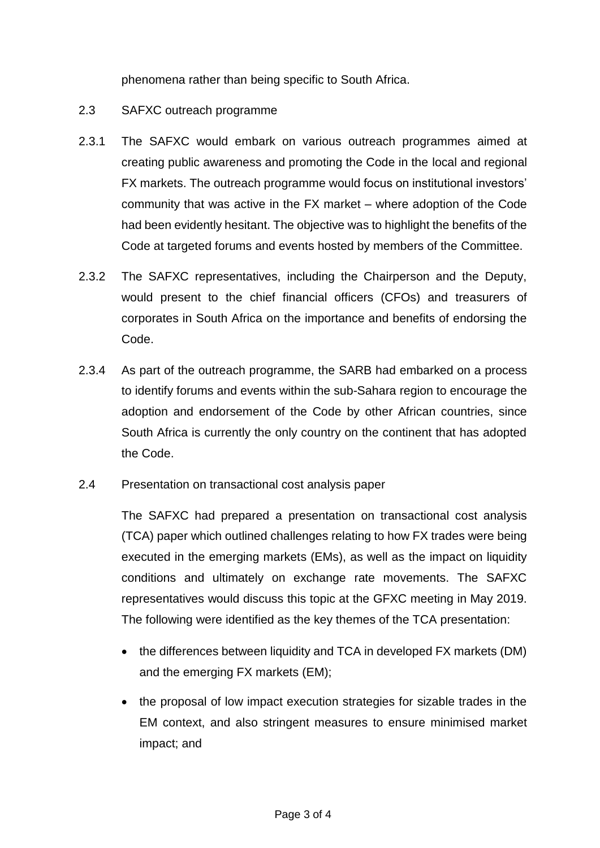phenomena rather than being specific to South Africa.

- 2.3 SAFXC outreach programme
- 2.3.1 The SAFXC would embark on various outreach programmes aimed at creating public awareness and promoting the Code in the local and regional FX markets. The outreach programme would focus on institutional investors' community that was active in the FX market – where adoption of the Code had been evidently hesitant. The objective was to highlight the benefits of the Code at targeted forums and events hosted by members of the Committee.
- 2.3.2 The SAFXC representatives, including the Chairperson and the Deputy, would present to the chief financial officers (CFOs) and treasurers of corporates in South Africa on the importance and benefits of endorsing the Code.
- 2.3.4 As part of the outreach programme, the SARB had embarked on a process to identify forums and events within the sub-Sahara region to encourage the adoption and endorsement of the Code by other African countries, since South Africa is currently the only country on the continent that has adopted the Code.
- 2.4 Presentation on transactional cost analysis paper

The SAFXC had prepared a presentation on transactional cost analysis (TCA) paper which outlined challenges relating to how FX trades were being executed in the emerging markets (EMs), as well as the impact on liquidity conditions and ultimately on exchange rate movements. The SAFXC representatives would discuss this topic at the GFXC meeting in May 2019. The following were identified as the key themes of the TCA presentation:

- the differences between liquidity and TCA in developed FX markets (DM) and the emerging FX markets (EM);
- the proposal of low impact execution strategies for sizable trades in the EM context, and also stringent measures to ensure minimised market impact; and